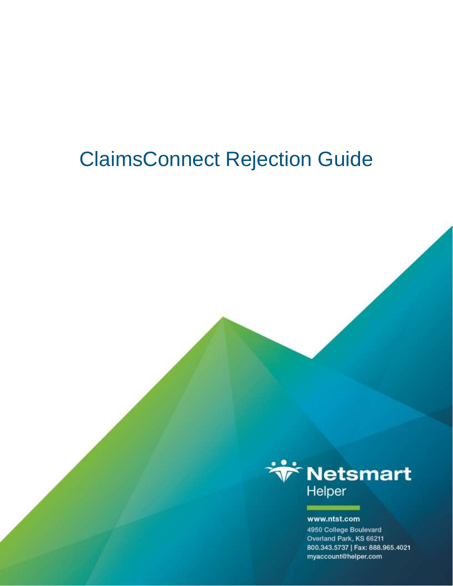# ClaimsConnect Rejection Guide



#### www.ntst.com

4950 College Boulevard Overland Park, KS 66211 800.343.5737 | Fax: 888.965.4021 myaccount@helper.com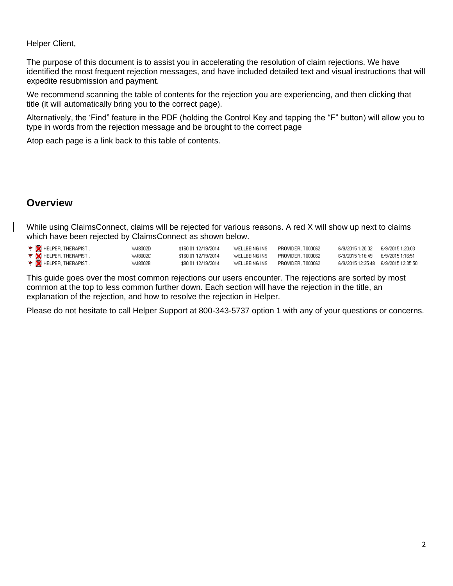#### Helper Client,

The purpose of this document is to assist you in accelerating the resolution of claim rejections. We have identified the most frequent rejection messages, and have included detailed text and visual instructions that will expedite resubmission and payment.

We recommend scanning the table of contents for the rejection you are experiencing, and then clicking that title (it will automatically bring you to the correct page).

Alternatively, the 'Find" feature in the PDF (holding the Control Key and tapping the "F" button) will allow you to type in words from the rejection message and be brought to the correct page

Atop each page is a link back to this table of contents.

#### **Overview**

While using ClaimsConnect, claims will be rejected for various reasons. A red X will show up next to claims which have been rejected by ClaimsConnect as shown below.

| <b>Y</b> MELPER, THERAPIST. | WJ8002D | \$160.01 12/19/2014 | WELLBEING INS. | PROVIDER.T000062  |                                        |  |
|-----------------------------|---------|---------------------|----------------|-------------------|----------------------------------------|--|
| <b>Y</b> MELPER, THERAPIST. | WJ8002C | \$160.01 12/19/2014 | WELLBEING INS. | PROVIDER T000062  | 6/9/2015 1:16:49    6/9/2015 1:16:51   |  |
| <b>Y</b> HELPER, THERAPIST. | WJ8002B | \$80.01 12/19/2014  | WELLBEING INS. | PROVIDER, T000062 | 6/9/2015 12:35:48    6/9/2015 12:35:50 |  |

This guide goes over the most common rejections our users encounter. The rejections are sorted by most common at the top to less common further down. Each section will have the rejection in the title, an explanation of the rejection, and how to resolve the rejection in Helper.

Please do not hesitate to call Helper Support at 800-343-5737 option 1 with any of your questions or concerns.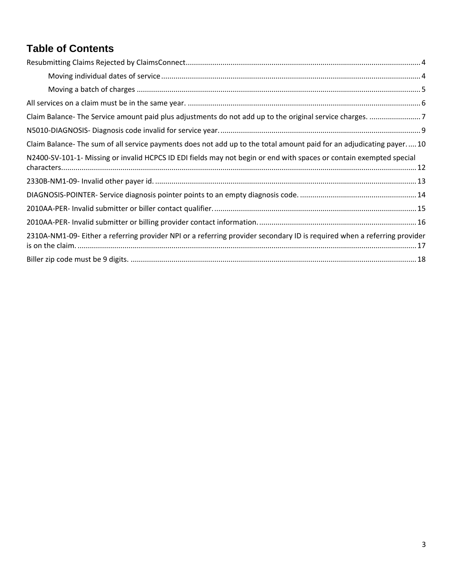# <span id="page-2-0"></span>**Table of Contents**

| Claim Balance-The sum of all service payments does not add up to the total amount paid for an adjudicating payer10       |  |
|--------------------------------------------------------------------------------------------------------------------------|--|
| N2400-SV-101-1- Missing or invalid HCPCS ID EDI fields may not begin or end with spaces or contain exempted special      |  |
|                                                                                                                          |  |
|                                                                                                                          |  |
|                                                                                                                          |  |
|                                                                                                                          |  |
| 2310A-NM1-09- Either a referring provider NPI or a referring provider secondary ID is required when a referring provider |  |
|                                                                                                                          |  |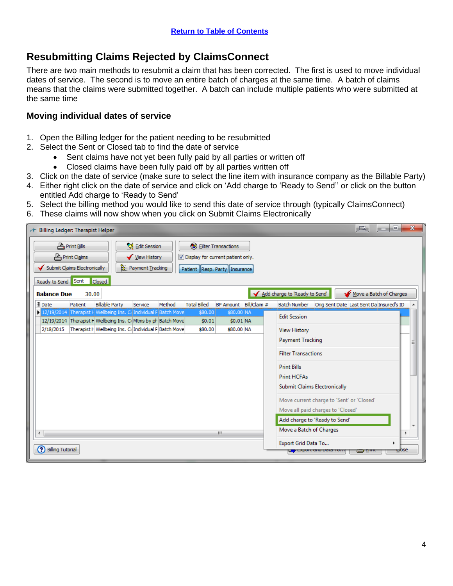# <span id="page-3-0"></span>**Resubmitting Claims Rejected by ClaimsConnect**

There are two main methods to resubmit a claim that has been corrected. The first is used to move individual dates of service. The second is to move an entire batch of charges at the same time. A batch of claims means that the claims were submitted together. A batch can include multiple patients who were submitted at the same time

#### <span id="page-3-1"></span>**Moving individual dates of service**

- 1. Open the Billing ledger for the patient needing to be resubmitted
- 2. Select the Sent or Closed tab to find the date of service
	- Sent claims have not yet been fully paid by all parties or written off
	- Closed claims have been fully paid off by all parties written off
- 3. Click on the date of service (make sure to select the line item with insurance company as the Billable Party)
- 4. Either right click on the date of service and click on 'Add charge to 'Ready to Send'' or click on the button entitled Add charge to 'Ready to Send'
- 5. Select the billing method you would like to send this date of service through (typically ClaimsConnect)
- 6. These claims will now show when you click on Submit Claims Electronically

| Billing Ledger: Therapist Helper<br>Á.                                                                                                                                                                                                                               | $\mathbf{x}$<br>画<br>▣<br>-                                                                             |
|----------------------------------------------------------------------------------------------------------------------------------------------------------------------------------------------------------------------------------------------------------------------|---------------------------------------------------------------------------------------------------------|
| <b>K</b> Edit Session<br>$m$ Print Bills<br>P Filter Transactions<br><b>A</b> Print Claims<br>View History<br>Display for current patient only.<br>Submit Claims Electronically<br>Payment Tracking<br>Patient Resp. Party Insurance<br>Ready to Send Sent<br>Closed |                                                                                                         |
| <b>Balance Due</b><br>30.00                                                                                                                                                                                                                                          | Add charge to 'Ready to Send'<br>Move a Batch of Charges                                                |
| <b>E</b> Date<br>BP Amount Bill/Claim #<br><b>Billable Party</b><br>Method<br><b>Total Billed</b><br>Patient<br>Service                                                                                                                                              | <b>Batch Number</b><br>Orig Sent Date Last Sent Da Insured's ID                                         |
| 12/19/2014   Therapist F Wellbeing Ins. C. Individual F Batch Move<br>\$80,00 NA<br>\$80.00<br>12/19/2014 Therapist F Wellbeing Ins. CoMtms by ph Batch Move<br>$$0.01$ NA<br>\$0.01                                                                                 | <b>Edit Session</b>                                                                                     |
| Therapist F Wellbeing Ins. ColIndividual F Batch Move<br>2/18/2015<br>\$80.00<br>\$80.00 NA                                                                                                                                                                          | <b>View History</b>                                                                                     |
|                                                                                                                                                                                                                                                                      | <b>Payment Tracking</b><br>Ξ                                                                            |
|                                                                                                                                                                                                                                                                      | <b>Filter Transactions</b>                                                                              |
|                                                                                                                                                                                                                                                                      | <b>Print Bills</b>                                                                                      |
|                                                                                                                                                                                                                                                                      | Print HCFAs                                                                                             |
|                                                                                                                                                                                                                                                                      | <b>Submit Claims Electronically</b>                                                                     |
|                                                                                                                                                                                                                                                                      | Move current charge to 'Sent' or 'Closed'                                                               |
|                                                                                                                                                                                                                                                                      | Move all paid charges to 'Closed'                                                                       |
|                                                                                                                                                                                                                                                                      | Add charge to 'Ready to Send'                                                                           |
| m.<br>$\blacktriangleleft$                                                                                                                                                                                                                                           | Move a Batch of Charges                                                                                 |
| Ω<br><b>Billing Tutorial</b>                                                                                                                                                                                                                                         | Export Grid Data To<br>$C$ <sub>OSe</sub><br><mark>: -</mark> Laport ond <i>Data</i> Ton<br><u>o nu</u> |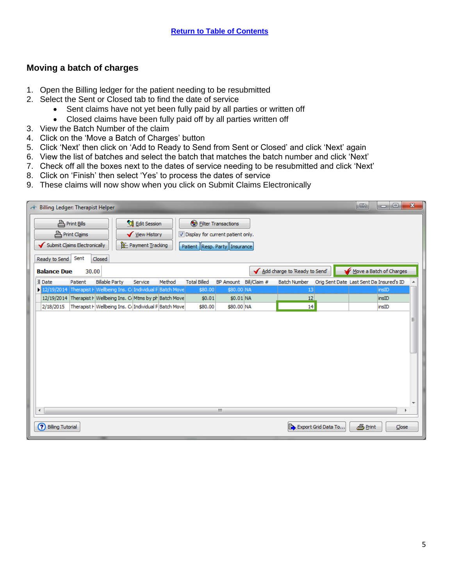#### <span id="page-4-0"></span>**Moving a batch of charges**

- 1. Open the Billing ledger for the patient needing to be resubmitted
- 2. Select the Sent or Closed tab to find the date of service
	- Sent claims have not yet been fully paid by all parties or written off
	- Closed claims have been fully paid off by all parties written off
- 3. View the Batch Number of the claim
- 4. Click on the 'Move a Batch of Charges' button
- 5. Click 'Next' then click on 'Add to Ready to Send from Sent or Closed' and click 'Next' again
- 6. View the list of batches and select the batch that matches the batch number and click 'Next'
- 7. Check off all the boxes next to the dates of service needing to be resubmitted and click 'Next'
- 8. Click on 'Finish' then select 'Yes' to process the dates of service
- 9. These claims will now show when you click on Submit Claims Electronically

| Billing Ledger: Therapist Helper<br>Ť                                                                            |                                                                          |                                                                                                        |                               | $\mathbf{x}$<br>o<br>œ,<br>▭             |
|------------------------------------------------------------------------------------------------------------------|--------------------------------------------------------------------------|--------------------------------------------------------------------------------------------------------|-------------------------------|------------------------------------------|
| <b>A</b> Print Bills<br><b>A</b> Print Claims<br>Submit Claims Electronically<br>Sent<br>Ready to Send<br>Closed | <b>&amp;</b> Edit Session<br>View History<br><b>B</b> : Payment Tracking | <b>B</b> Eilter Transactions<br>Display for current patient only.<br>Patient   Resp. Party   Insurance |                               |                                          |
| <b>Balance Due</b><br>30.00                                                                                      |                                                                          |                                                                                                        | Add charge to 'Ready to Send' | Move a Batch of Charges                  |
| <b>E</b> Date<br><b>Billable Party</b><br>Patient                                                                | Method<br><b>Total Billed</b><br>Service                                 | BP Amount Bill/Claim #                                                                                 | <b>Batch Number</b>           | Orig Sent Date Last Sent Da Insured's ID |
| 12/19/2014 Therapist F Wellbeing Ins. C. Individual F Batch Move                                                 | \$80.00                                                                  | \$80.00 NA                                                                                             | 13                            | insID                                    |
| 12/19/2014 Therapist F Wellbeing Ins. C Mtms by ph Batch Move                                                    | \$0.01                                                                   | $$0.01$ NA                                                                                             | 12                            | insID                                    |
| 2/18/2015                                                                                                        | Therapist I   Wellbeing Ins. Cr Individual F Batch Move<br>\$80.00       | \$80.00 NA                                                                                             | 14                            | insID                                    |
|                                                                                                                  |                                                                          |                                                                                                        |                               |                                          |
| $\overline{4}$                                                                                                   |                                                                          | m.                                                                                                     |                               |                                          |
| ര<br><b>Billing Tutorial</b>                                                                                     |                                                                          |                                                                                                        | Export Grid Data To           | <b>B</b> Print<br>Close                  |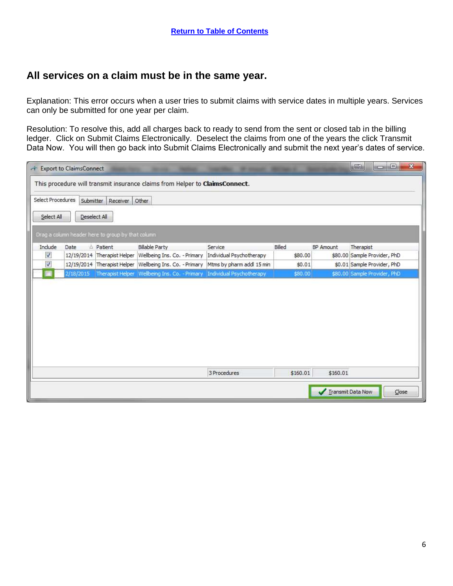#### <span id="page-5-0"></span>**All services on a claim must be in the same year.**

Explanation: This error occurs when a user tries to submit claims with service dates in multiple years. Services can only be submitted for one year per claim.

Resolution: To resolve this, add all charges back to ready to send from the sent or closed tab in the billing ledger. Click on Submit Claims Electronically. Deselect the claims from one of the years the click Transmit Data Now. You will then go back into Submit Claims Electronically and submit the next year's dates of service.

| $\sigma$                   | <b>Export to ClaimsConnect</b> |                                                   |                                                                             |                           |          |                   | $\sqrt{m}$<br><b>ICTN</b>    | $\mathbf{x}$<br>$\Box$        |
|----------------------------|--------------------------------|---------------------------------------------------|-----------------------------------------------------------------------------|---------------------------|----------|-------------------|------------------------------|-------------------------------|
|                            |                                |                                                   | This procedure will transmit insurance claims from Helper to ClaimsConnect. |                           |          |                   |                              |                               |
| Select Procedures          | Submitter                      | Receiver Other                                    |                                                                             |                           |          |                   |                              |                               |
| Select All                 |                                | Deselect All                                      |                                                                             |                           |          |                   |                              |                               |
|                            |                                | Drag a column header here to group by that column |                                                                             |                           |          |                   |                              |                               |
| Include                    | Date                           | △ Patient                                         | <b>Billable Party</b>                                                       | Service                   | Billed   | BP Amount         | Therapist                    |                               |
| $\boldsymbol{\mathcal{J}}$ |                                |                                                   | 12/19/2014 Therapist Helper Wellbeing Ins. Co. - Primary                    | Individual Psychotherapy  | \$80.00  |                   | \$80.00 Sample Provider, PhD |                               |
| $\overline{\mathsf{v}}$    |                                |                                                   | 12/19/2014 Therapist Helper Wellbeing Ins. Co. - Primary                    | Mtms by pharm addl 15 min | \$0.01   |                   | \$0.01 Sample Provider, PhD  |                               |
|                            | 2/18/2015                      |                                                   | Therapist Helper Wellbeing Ins. Co. - Primary Individual Psychotherapy      |                           | \$80.00  |                   | \$80.00 Sample Provider, PhD |                               |
|                            |                                |                                                   |                                                                             |                           |          |                   |                              |                               |
|                            |                                |                                                   |                                                                             | 3 Procedures              | \$160.01 | \$160.01          |                              |                               |
|                            |                                |                                                   |                                                                             |                           |          | Transmit Data Now |                              | $\mathsf{\underline{C}}$ lose |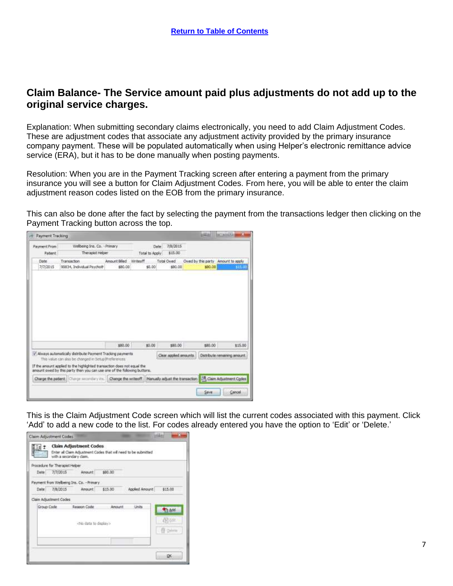#### <span id="page-6-0"></span>**Claim Balance- The Service amount paid plus adjustments do not add up to the original service charges.**

Explanation: When submitting secondary claims electronically, you need to add Claim Adjustment Codes. These are adjustment codes that associate any adjustment activity provided by the primary insurance company payment. These will be populated automatically when using Helper's electronic remittance advice service (ERA), but it has to be done manually when posting payments.

Resolution: When you are in the Payment Tracking screen after entering a payment from the primary insurance you will see a button for Claim Adjustment Codes. From here, you will be able to enter the claim adjustment reason codes listed on the EOB from the primary insurance.

This can also be done after the fact by selecting the payment from the transactions ledger then clicking on the Payment Tracking button across the top.

| Payment From: | Wellbeing Ins. Co. - Primary                                                                                                                        |                     | Date:          | 7/8/2015                        |                                    |                                         |
|---------------|-----------------------------------------------------------------------------------------------------------------------------------------------------|---------------------|----------------|---------------------------------|------------------------------------|-----------------------------------------|
| Patent.       | Therapist Helper                                                                                                                                    |                     | Total to Apply | \$15.00                         |                                    |                                         |
| Date          | Transaction                                                                                                                                         | Amount Billed       | Writeoff       | Total Owed                      | Owed by this party Amount to apply |                                         |
| 7/7/2015      | 90834, Individual Psycholt                                                                                                                          | \$80.00             | \$0.00         | \$80.00                         | \$80.00                            | - 14                                    |
|               |                                                                                                                                                     |                     |                |                                 |                                    |                                         |
|               |                                                                                                                                                     | \$80.00             | \$9.00         | \$80,00                         | \$80.00                            |                                         |
|               | / Always automatically distribute Payment Trading payments<br>This value can also be changed in Setup Preferences                                   |                     |                | Clear appled amounts.           |                                    | \$15.00<br>Distribute remaining amount. |
|               | If the amount applied to the highlighted transaction does not equal the<br>amount owed by this party then you can use one of the following buttons. |                     |                |                                 |                                    |                                         |
|               | Charge the patient: Charge secondary inc.                                                                                                           | Change the writeoff |                | Manually adjust the transaction |                                    | Claim Adjustment Codes                  |

This is the Claim Adjustment Code screen which will list the current codes associated with this payment. Click 'Add' to add a new code to the list. For codes already entered you have the option to 'Edit' or 'Delete.'

| \$15.00        |
|----------------|
|                |
| <b>The Add</b> |
| Delette        |
| OΚ             |
|                |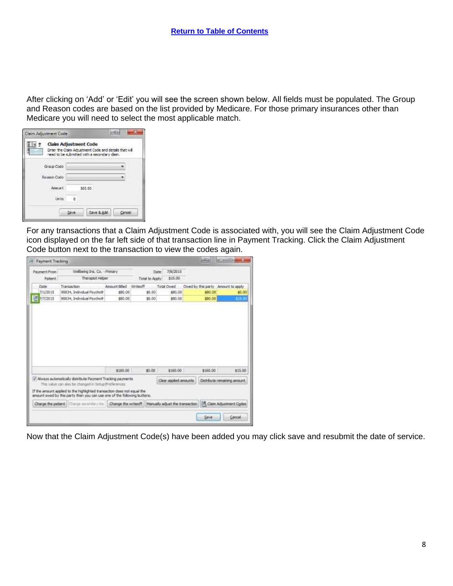After clicking on 'Add' or 'Edit' you will see the screen shown below. All fields must be populated. The Group and Reason codes are based on the list provided by Medicare. For those primary insurances other than Medicare you will need to select the most applicable match.

| Claim Adjustment Code |          | Enter the Claim Adjustment Code and details that will<br>need to be submitted with a secondary daim. |        |
|-----------------------|----------|------------------------------------------------------------------------------------------------------|--------|
| Group Code:           |          |                                                                                                      |        |
| Reason Code           |          |                                                                                                      |        |
| Amount                |          | \$65.00                                                                                              |        |
| 1.kviter              | $\alpha$ |                                                                                                      |        |
|                       | Save     | Save & Add                                                                                           | Cancel |

For any transactions that a Claim Adjustment Code is associated with, you will see the Claim Adjustment Code icon displayed on the far left side of that transaction line in Payment Tracking. Click the Claim Adjustment Code button next to the transaction to view the codes again.

|               | Payment Tracking                                                                                                                                    |                        |                |                                 | <b>USED</b>                         | model in                                |
|---------------|-----------------------------------------------------------------------------------------------------------------------------------------------------|------------------------|----------------|---------------------------------|-------------------------------------|-----------------------------------------|
| Payment From  | Wellbeing Ins. Co. - Primary                                                                                                                        |                        |                | 7/8/2015<br>Date:               |                                     |                                         |
| Patent.       | Therapist Helper                                                                                                                                    |                        | Total to Apply | \$15.00                         |                                     |                                         |
| Date          | Transaction                                                                                                                                         | Amount Billed Writeoff |                | Total Owed                      | Owed by this party Amount to apply. |                                         |
| 7/1/2015      | 90834, Individual Psycholt                                                                                                                          | \$80.00                | \$0.00         | \$80.00                         | \$80.00                             | \$0.00                                  |
| Ħ<br>7/7/2015 | 90834, Individual Psychoth                                                                                                                          | \$80.00                | 50.00          | \$80.00                         | \$80.00                             | 73.0                                    |
|               |                                                                                                                                                     |                        |                |                                 |                                     |                                         |
|               |                                                                                                                                                     | \$160.00               | \$9.00         | \$160.00                        | \$160,00                            |                                         |
|               | / Always automatically distribute Payment Tracking payments<br>This value can also be changed in Setup Preferences.                                 |                        |                | Clear appled amounts.           |                                     |                                         |
|               | If the amount applied to the highlighted transaction does not equal the<br>amount owed by this party then you can use one of the following buttons. |                        |                |                                 |                                     | \$15.00<br>Distribute remaining amount. |
|               | Charge the patient:   Charge securitiery inc.   Change the writeoff.                                                                                |                        |                | Manually adjust the transaction |                                     | Claim Adjustment Codes                  |

Now that the Claim Adjustment Code(s) have been added you may click save and resubmit the date of service.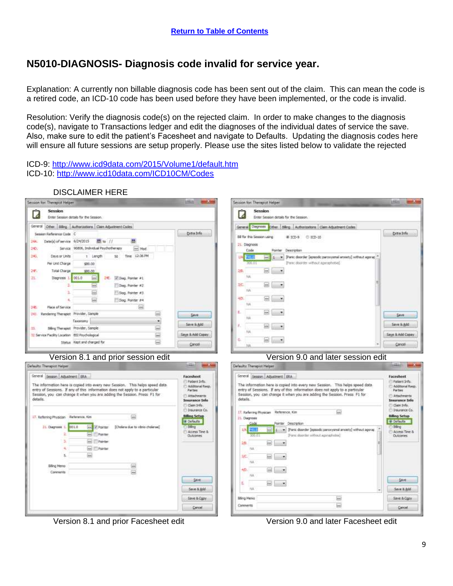# <span id="page-8-0"></span>**N5010-DIAGNOSIS- Diagnosis code invalid for service year.**

Explanation: A currently non billable diagnosis code has been sent out of the claim. This can mean the code is a retired code, an ICD-10 code has been used before they have been implemented, or the code is invalid.

Resolution: Verify the diagnosis code(s) on the rejected claim. In order to make changes to the diagnosis code(s), navigate to Transactions ledger and edit the diagnoses of the individual dates of service the save. Also, make sure to edit the patient's Facesheet and navigate to Defaults. Updating the diagnosis codes here will ensure all future sessions are setup properly. Please use the sites listed below to validate the rejected

ICD-9:<http://www.icd9data.com/2015/Volume1/default.htm> ICD-10:<http://www.icd10data.com/ICD10CM/Codes>

DISCLAIMER HERE

#### Session for: Therapist Helper (BZA)  $-2$ Session for: Therapist Helper Session 7 M Enter Session details for the Session Enter Session details for the Session General Other Billing Authorizations Claim Adjustment Codes General Diagno The Stee | Sting | Authorizations | Claim Adjustment Codes **Ditalnio** Sec an Reference Code C **Extra Info** 58 for this Session using # 330-9 0 ICD-10 Date(s) of service 6/24/2015  $M = 11$ m  $244$ 21. Diagnosis 240. Service 90806, Individual Psychotherapy The Mod Code Description p. 245 Time 12:36 PM Davis or Units 1 Length  $50<sup>°</sup>$  $1 - \bullet$  Paris decreer (episodic paroxylenal arosety) without against Per unit Charge \$80.00 Panic doorder without apprachotival  $\blacksquare$ 26 **Total Charge** \$80.00 16 чü 扛 **CHE.** IV Dieg, Pointer #1. Diagnosis 1 001.0 in- $\circ$   $\circ$ Dag. Pointer #2 1kb  $\overline{\phantom{a}}$ **WA**  $\overline{\phantom{a}}$ Dieg, Pointer #3 4D  $\blacksquare$ 脑 Dag Pointer #4 **TEL** Place of Service 585  $E -$ Rendering Therapist Provider, Sangle  $341 \overline{1}$ Skirk Skirk ïά Taxonomy ۰ Save 8.844 Save 8.8dd  $\omega$  . n. Siling Theneset Provider, Sample a iii Ξ Says & Add Copay Says & Add Copay 12 Service Pacifity Location 851 Psychological Ġ  $= -$ Stellur Kept and charged for Cancel Cancel Version 8.1 and prior session edit Version 9.0 and later session edit **Bible**  $-2n$ **START Search** Defaults: Therapist Helper Default: Therapist Helper Facesheet General Session Adjustment ERA Facesbeet General Session Adjustment ERA Patient Info: Pagent Info The information here is copied into every new Session. This helps speed data The information here is copied into every new Session. This helps speed data Additional Rasp.<br>Parties Additional Resp.<br>Parties entry of Sessions. If any of this information does not apply to a particula entry of Sessions. If any of this information does not apply to a particular Session, you can change it when you are adding the Session. Press F1 for Session, you can change it when you are adding the Session. Press F1 for Attachments Attachments details. detatis. Insurance Info **Insurance Info** dam Info. Clam Info. Insurance Co. Insurance Co. 17. Referring Physician Reference, Kin  $\overline{m}$ ₩ **Billing Setup**<br>**# Defaults** 17. Referring Physician Reference, Kins **Niling Setup L. Diagnosis M** Definable nter Description 21. Chagnose 1. 031.0 Pi Pointer (Chalera due to váxio chaleras) E M Billing T Park deorder (episodc percorporal anxiety) without agona; Access Time &<br>Outcomes Access Time &<br>Outcomes ž. **Good International** Rane duorder without agengination) **Foinder**  $\Box$ äÐ ٠ **ED** Pointer **Hall** ₩ ar. W.  $n<sub>4</sub>$ **Billing Mento** 40.  $\frac{1}{2}$ Convenience (m)  $^{12}$ Save . **Save**  $\omega$   $\sim$ ε Save & Add Save & Add Billing Menio Save & Copy  $\overline{1}$ Save & Copy E. Conments Cencel Cencel

Version 8.1 and prior Facesheet edit Version 9.0 and later Facesheet edit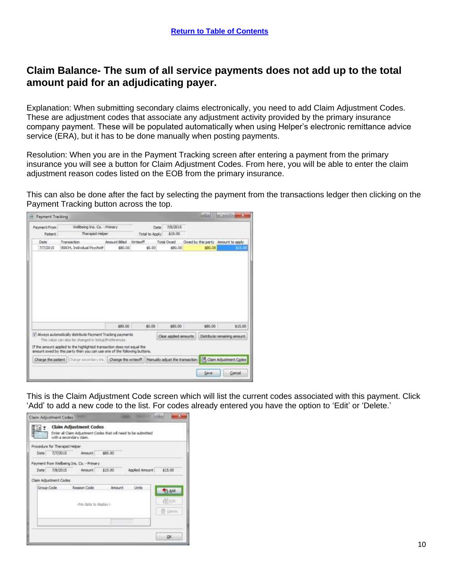#### <span id="page-9-0"></span>**Claim Balance- The sum of all service payments does not add up to the total amount paid for an adjudicating payer.**

Explanation: When submitting secondary claims electronically, you need to add Claim Adjustment Codes. These are adjustment codes that associate any adjustment activity provided by the primary insurance company payment. These will be populated automatically when using Helper's electronic remittance advice service (ERA), but it has to be done manually when posting payments.

Resolution: When you are in the Payment Tracking screen after entering a payment from the primary insurance you will see a button for Claim Adjustment Codes. From here, you will be able to enter the claim adjustment reason codes listed on the EOB from the primary insurance.

This can also be done after the fact by selecting the payment from the transactions ledger then clicking on the Payment Tracking button across the top.

| Payment From | Wellbeing Ins. Co. - Primary                                                                                                                        |               |          | Date:          | 7/8/2015              |         |                                    |
|--------------|-----------------------------------------------------------------------------------------------------------------------------------------------------|---------------|----------|----------------|-----------------------|---------|------------------------------------|
| Patent       | Therapist Helper                                                                                                                                    |               |          | Total to Apply | \$15.00               |         |                                    |
| Date         | Transaction                                                                                                                                         | Amount Billed | Writeoff |                | Total Owed            |         | Owed by this party Amount to apply |
| 7/7/2015     | 90834, Individual Psycholt                                                                                                                          | \$80.00       |          | \$0.00         | \$80.00               | \$80.00 |                                    |
|              |                                                                                                                                                     |               |          |                |                       |         |                                    |
|              |                                                                                                                                                     |               |          |                |                       |         |                                    |
|              |                                                                                                                                                     | \$80.00       |          | \$3.00         | \$80.00               | \$80.00 | \$15.00                            |
|              | / Always automatically distribute Payment Tracking payments<br>This value can also be changed in SetLo Preferences                                  |               |          |                | Clear appled amounts. |         | Distribute remaining amount.       |
|              | If the amount applied to the highlighted transaction does not equal the<br>amount owed by this party then you can use one of the following buttons. |               |          |                |                       |         |                                    |

This is the Claim Adjustment Code screen which will list the current codes associated with this payment. Click 'Add' to add a new code to the list. For codes already entered you have the option to 'Edit' or 'Delete.'

|            | Procedure for Therapist Helper | with a secondary claim.                  |         |                |                |
|------------|--------------------------------|------------------------------------------|---------|----------------|----------------|
| Date       | 7/7/2015                       | Arrount                                  | \$80.00 |                |                |
|            |                                | Payment from Welbeing Ins. Co. - Primary |         |                |                |
| Date       | 7/8/2015                       | Amount                                   | \$15.00 | Applied Amount | \$15.00        |
|            | Claim Adjustment Codes         |                                          |         |                |                |
| Group Code |                                | Reason Code                              | Amount  | Units          | <b>The Add</b> |
|            |                                | data to display>                         |         |                | 西北石田<br>E Dom  |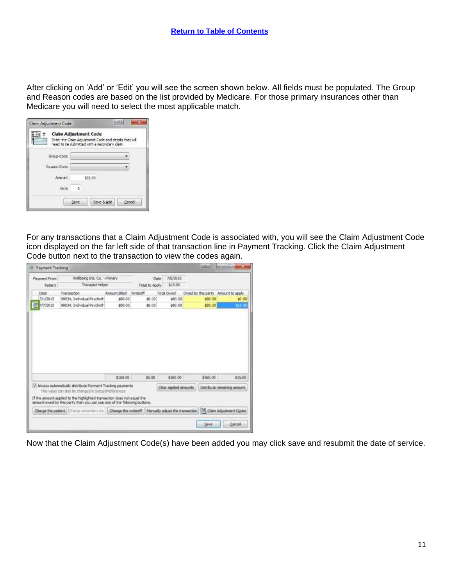After clicking on 'Add' or 'Edit' you will see the screen shown below. All fields must be populated. The Group and Reason codes are based on the list provided by Medicare. For those primary insurances other than Medicare you will need to select the most applicable match.

| Claim Adjustment Code |          | Enter the Claim Adjustment Code and details that will<br>need to be submitted with a secondary daim. |        |
|-----------------------|----------|------------------------------------------------------------------------------------------------------|--------|
| Group Code:           |          |                                                                                                      |        |
| Reason Code           |          |                                                                                                      |        |
| Amount.               |          | \$65.00                                                                                              |        |
| 1 knits               | $\alpha$ |                                                                                                      |        |
|                       | Save     | Save 5. Add                                                                                          | Cancel |

For any transactions that a Claim Adjustment Code is associated with, you will see the Claim Adjustment Code icon displayed on the far left side of that transaction line in Payment Tracking. Click the Claim Adjustment Code button next to the transaction to view the codes again.

| Payment From  | Wellbeing Ins. Co. - Primary                                                                                                                        |                     |                | 7/8/2015<br>Date                |                                     |                                         |
|---------------|-----------------------------------------------------------------------------------------------------------------------------------------------------|---------------------|----------------|---------------------------------|-------------------------------------|-----------------------------------------|
| Patent        | Therapist Helper                                                                                                                                    |                     | Total to Apply | \$15.00                         |                                     |                                         |
| Date          | Transaction                                                                                                                                         | Amount Billed       | Writeoff       | Total Owed                      | Owed by this party Amount to apply. |                                         |
| 7/1/2015      | 90834, Individual Psycholt                                                                                                                          | \$80.00             | \$0.00         | \$80.00                         | \$80.00                             | \$0.00                                  |
| н<br>7/7/2015 | 90834, Individual Psychoth                                                                                                                          | \$50.00             | 50.00          | \$80.00                         | \$80.00                             | 13.0                                    |
|               |                                                                                                                                                     |                     |                |                                 |                                     |                                         |
|               |                                                                                                                                                     | \$160.00            | \$9.00         | \$160.00                        | \$160.00                            |                                         |
|               | / Always automatically distribute Payment Tracking payments<br>This value can also be changed in Setup Preferences                                  |                     |                | Clear appled amounts.           |                                     |                                         |
|               | If the amount applied to the highlighted transaction does not equal the<br>amount owed by this party then you can use one of the following buttons. |                     |                |                                 |                                     | \$15.00<br>Distribute remaining amount. |
|               | Charge the patient: Charge secondary inc.                                                                                                           | Change the writeoff |                | Manually adjust the transaction |                                     | CAL Claim Adjustment Codes              |

Now that the Claim Adjustment Code(s) have been added you may click save and resubmit the date of service.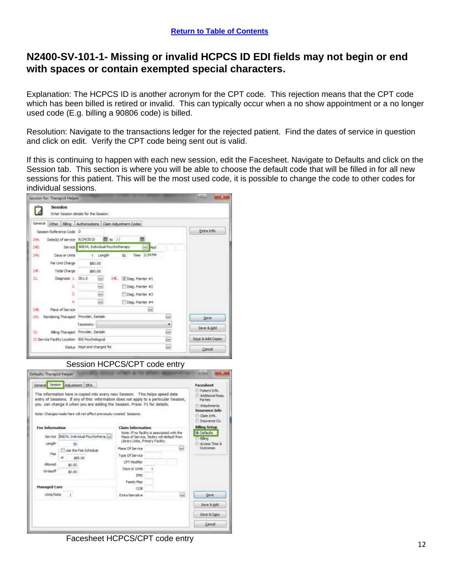#### <span id="page-11-0"></span>**N2400-SV-101-1- Missing or invalid HCPCS ID EDI fields may not begin or end with spaces or contain exempted special characters.**

Explanation: The HCPCS ID is another acronym for the CPT code. This rejection means that the CPT code which has been billed is retired or invalid. This can typically occur when a no show appointment or a no longer used code (E.g. billing a 90806 code) is billed.

Resolution: Navigate to the transactions ledger for the rejected patient. Find the dates of service in question and click on edit. Verify the CPT code being sent out is valid.

If this is continuing to happen with each new session, edit the Facesheet. Navigate to Defaults and click on the Session tab. This section is where you will be able to choose the default code that will be filled in for all new sessions for this patient. This will be the most used code, it is possible to change the code to other codes for individual sessions.





Session HCPCS/CPT code entry

Facesheet HCPCS/CPT code entry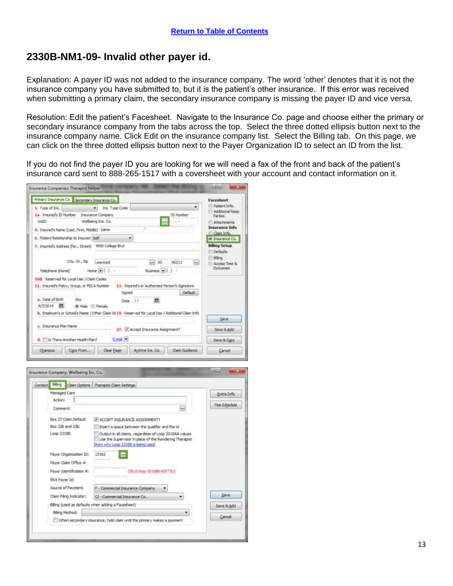#### <span id="page-12-0"></span>**2330B-NM1-09- Invalid other payer id.**

Explanation: A payer ID was not added to the insurance company. The word 'other' denotes that it is not the insurance company you have submitted to, but it is the patient's other insurance. If this error was received when submitting a primary claim, the secondary insurance company is missing the payer ID and vice versa.

Resolution: Edit the patient's Facesheet. Navigate to the Insurance Co. page and choose either the primary or secondary insurance company from the tabs across the top. Select the three dotted ellipsis button next to the insurance company name. Click Edit on the insurance company list. Select the Billing tab. On this page, we can click on the three dotted ellipsis button next to the Payer Organization ID to select an ID from the list.

If you do not find the payer ID you are looking for we will need a fax of the front and back of the patient's insurance card sent to 888-265-1517 with a coversheet with your account and contact information on it.

| Primary Insurance Co. Secondary Insurance Co.        |                                 |                                                                                                               |                                               |           |             | Facesheet                               |
|------------------------------------------------------|---------------------------------|---------------------------------------------------------------------------------------------------------------|-----------------------------------------------|-----------|-------------|-----------------------------------------|
| 1. Type of Ins.                                      | $\overline{\phantom{a}}$        | Ins. Type Code                                                                                                |                                               |           |             | Patient Info.<br>Additional Resp.       |
| I.a. Ima.red's 10 Number                             |                                 | <b>Insurance Company</b>                                                                                      |                                               | SS Number |             | <b>Parties</b>                          |
| insID.                                               |                                 | Welbeing Ins. Co.                                                                                             | $ $ asa]                                      |           |             | <b>Attachments</b>                      |
| 4. Insured's Name (Last, First, Middle) : Same       |                                 |                                                                                                               |                                               |           |             | <b>Insurance Info</b><br>Claim Info.    |
| 6. Patient Relationship to Insured   Self            |                                 |                                                                                                               |                                               |           |             | @ Insurance Co.                         |
| 7. Insured's Address (No., Street) 4950 College Blvd |                                 |                                                                                                               |                                               |           |             | <b>Billing Setup</b><br><b>Defaults</b> |
|                                                      | City, St., Zip                  | Lewarad                                                                                                       | $-10%$                                        | 66211     | <b>Seco</b> | biling.<br>Access Time &                |
| Telephone (Home)                                     |                                 | $Home$ $\pi$ ( )<br>$\rightarrow$                                                                             | Business (m) ( ) +                            |           |             | <b>Outcomes</b>                         |
| 10d. Reserved for Local Use / Claim Codes            |                                 |                                                                                                               |                                               |           |             |                                         |
| 11. Insured's Policy, Group, or FECA Number          |                                 |                                                                                                               | 13. Insured's or Authorized Person's Sanature |           |             |                                         |
|                                                      |                                 | Signed.                                                                                                       |                                               | Default   |             |                                         |
| a. Date of Birth<br>9/7/2014                         | <b>Sex</b><br>@ Male El Ferrale | Date //<br>b. Employer's or School's Name / Other Claim 1d 19. Reserved for Local Use / Additional Claim Info | 面                                             |           |             |                                         |
|                                                      |                                 |                                                                                                               |                                               |           |             | Save                                    |
| c. Insurance Plan Name                               |                                 |                                                                                                               | 27. V Accept Insurance Assignment?            |           |             | Save & Add                              |
|                                                      |                                 | E-mail (*)                                                                                                    |                                               |           |             | Save & Copy                             |
| d. It'll a There Another Health Plan?                |                                 |                                                                                                               |                                               |           |             |                                         |

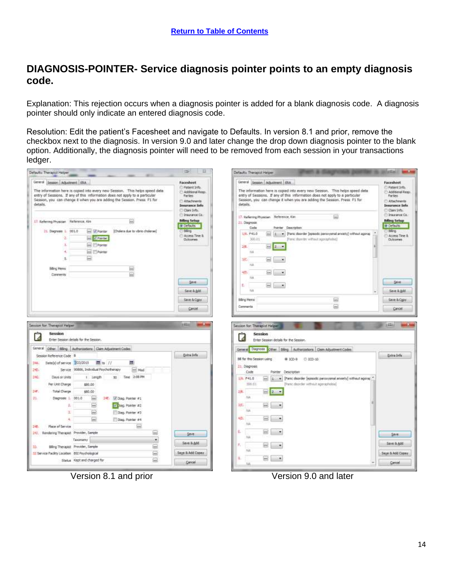# <span id="page-13-0"></span>**DIAGNOSIS-POINTER- Service diagnosis pointer points to an empty diagnosis code.**

Explanation: This rejection occurs when a diagnosis pointer is added for a blank diagnosis code. A diagnosis pointer should only indicate an entered diagnosis code.

Resolution: Edit the patient's Facesheet and navigate to Defaults. In version 8.1 and prior, remove the checkbox next to the diagnosis. In version 9.0 and later change the drop down diagnosis pointer to the blank option. Additionally, the diagnosis pointer will need to be removed from each session in your transactions ledger.

| General Sesson Adjustment BlA                                                                                                                                                                                                                                   |                                                                                                                                      | Defaults: Therapist Helper                                                                                                                                                                                                                                                                                 |                                                                                                                                      |
|-----------------------------------------------------------------------------------------------------------------------------------------------------------------------------------------------------------------------------------------------------------------|--------------------------------------------------------------------------------------------------------------------------------------|------------------------------------------------------------------------------------------------------------------------------------------------------------------------------------------------------------------------------------------------------------------------------------------------------------|--------------------------------------------------------------------------------------------------------------------------------------|
| The information here is copied into every new Session. This helps speed data<br>entry of Sessions. If any of this information does not apply to a particular<br>Session, you can change it when you are adding the Session. Press F1 for<br>details.            | <b>Facesheet</b><br><sup>2</sup> Patient Info.<br>Additional Reso<br>Parties<br>Attachments<br><b>Disurance Info</b><br>Claim Irvin. | General Sesson Adjustment BlA<br>The information here is copied into every new Session. This helps speed data<br>entry of Sessions. If any of this information does not apply to a particular<br>Session, you can change it when you are adding the Session. Press F1 for<br>details.                      | <b>Facesheet</b><br><sup>2</sup> Patient Info.<br>Additional Reso<br>Parties<br>Altachments<br><b>Disurance Info</b><br>Clairs Info. |
| 17. Referring Physician Rafterence, Kins<br>31. Dagrose 1, 001.0<br>- Ponter<br>[Cholera due to vibrio cholerae]<br>V Pointer<br>z.<br>1.<br><b>Pointer</b><br>4.<br><b>Pointer</b><br>₽<br>S,<br>Billing Memo.<br>₩<br>Connects                                | Dimension Co.<br><b>Billing Setup</b><br>W Defaults<br>Blirio.<br>Access Time &<br><b>Outcomes</b>                                   | (iii)<br>17. Raferring Physician Heference, Kim<br>31. Diagnosis<br>Pointer Description<br>Cristia<br>$-11$<br>1/4. F41.0<br>. Paric deorder [specific percoyatral anniety] without agorap<br>300.01<br>Panic domity without apprachiled)<br>准<br>$m = 1 - 1$<br>T44<br>北<br><b>DOM</b><br>TiA<br>40.<br>m | Dimunator Co.<br><b>Niling Setup</b><br>W Defaults<br>Blirio<br>Access Time &<br><b>Outcomes</b>                                     |
| Session for: Therapist Helper<br>Session                                                                                                                                                                                                                        | Skie<br>Stret & Add<br>Save & Copy<br>Cancel<br><b>Silking</b><br><b>STATE</b>                                                       | <b>TVA</b><br>E.<br>hed.<br><b>YAA</b><br>$\overline{\omega}$<br><b>Billing Merrio</b><br>$\overline{}$<br>Commenta<br>Session for: Therapist Helper<br>Session                                                                                                                                            | Save<br>Stret & Add<br>Saint & Copy<br>Cancel<br><b>STAGE</b>                                                                        |
| A<br>Enter Session details for the Session.<br>General Other Bling Authorizations Claim Adjustment Codes<br>Session Reference Code 5<br>图its //<br>圃<br>Date(s) of service #23/2015<br>EW.<br>Service 10806, Individual Psychotherapy<br>M <sub>2d</sub><br>SO. | Estra Info                                                                                                                           | а<br>Enter Session details for the Session.<br>General Degmotis Other Biling Authorizations Gain Adjustment Codes<br>Bill for this Session using<br>* ICD-9<br>$0.020 - 10$<br>21. Diagnosis                                                                                                               | Estra Info                                                                                                                           |
| 240.<br>Time 2.08 PM<br>Days or Units<br>t Length<br>M1<br>Per Unit Charge<br>\$80.00<br>Total Charge<br>24.<br>\$80.00<br>31.<br>24   Diag, Pointer #1<br>Disgnosis   001.0<br>$\frac{1+x}{2}$                                                                 |                                                                                                                                      | Code<br><b>Rainter Description</b><br>1/4, F41.0<br>Panic deorder (esteadic percuyamal acviets) without agains:<br>[Paric disorder without agensphobia]<br>356.01<br>$-11 -$<br>2起<br><b>HA</b><br>近.                                                                                                      |                                                                                                                                      |
| $\overline{\phantom{a}}$<br>V Ekep, Pointer #2<br>Ť.<br>(iii)<br>а<br>Dag, Pointer #3<br>$\vert$ mal<br>Diag, Pointer #4<br><b>Gas</b><br>Place of Service<br>245                                                                                               |                                                                                                                                      | 744<br>40.<br>[ma]<br>NA<br>£                                                                                                                                                                                                                                                                              |                                                                                                                                      |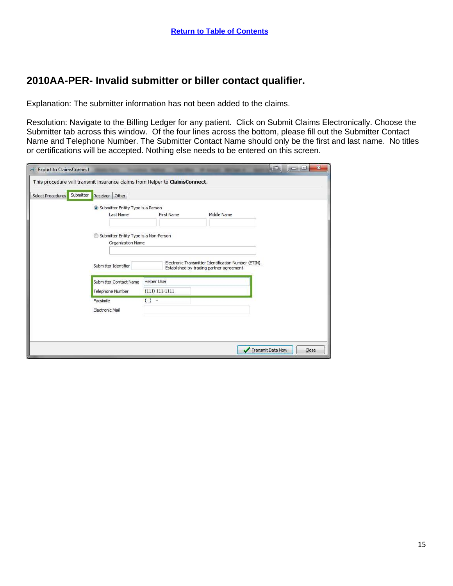#### <span id="page-14-0"></span>**2010AA-PER- Invalid submitter or biller contact qualifier.**

Explanation: The submitter information has not been added to the claims.

Resolution: Navigate to the Billing Ledger for any patient. Click on Submit Claims Electronically. Choose the Submitter tab across this window. Of the four lines across the bottom, please fill out the Submitter Contact Name and Telephone Number. The Submitter Contact Name should only be the first and last name. No titles or certifications will be accepted. Nothing else needs to be entered on this screen.

| Select Procedures | Submitter<br>Other<br>Receiver                             |                                        |                                                                                                   |  |
|-------------------|------------------------------------------------------------|----------------------------------------|---------------------------------------------------------------------------------------------------|--|
|                   | <b>O</b> Submitter Entity Type is a Person<br>Last Name    | First Name                             | Middle Name                                                                                       |  |
|                   | Submitter Entity Type is a Non-Person<br>Organization Name |                                        |                                                                                                   |  |
|                   | Submitter Identifier                                       |                                        | Electronic Transmitter Identification Number (ETIN).<br>Established by trading partner agreement. |  |
|                   | Submitter Contact Name<br><b>Telephone Number</b>          | <b>Helper User</b><br>$(111) 111-1111$ |                                                                                                   |  |
|                   | Facsimile                                                  | $( )$ -                                |                                                                                                   |  |
|                   | Electronic Mail                                            |                                        |                                                                                                   |  |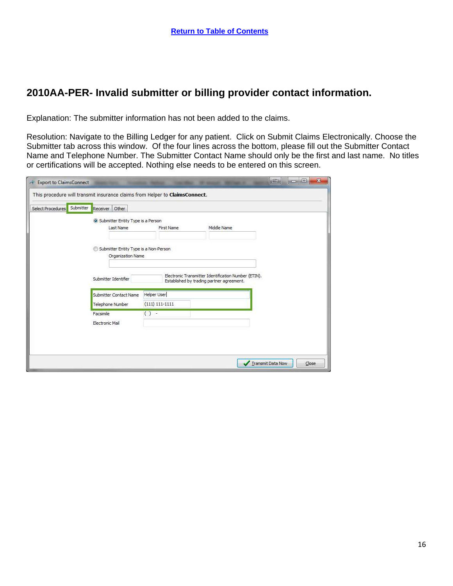# <span id="page-15-0"></span>**2010AA-PER- Invalid submitter or billing provider contact information.**

Explanation: The submitter information has not been added to the claims.

Resolution: Navigate to the Billing Ledger for any patient. Click on Submit Claims Electronically. Choose the Submitter tab across this window. Of the four lines across the bottom, please fill out the Submitter Contact Name and Telephone Number. The Submitter Contact Name should only be the first and last name. No titles or certifications will be accepted. Nothing else needs to be entered on this screen.

| Submitter<br>Other<br>Receiver                             |                    |                                                                                                   |  |
|------------------------------------------------------------|--------------------|---------------------------------------------------------------------------------------------------|--|
| Submitter Entity Type is a Person                          |                    |                                                                                                   |  |
| Last Name                                                  | First Name         | Middle Name                                                                                       |  |
| Submitter Entity Type is a Non-Person<br>Organization Name |                    |                                                                                                   |  |
| Submitter Identifier                                       |                    | Electronic Transmitter Identification Number (ETIN).<br>Established by trading partner agreement. |  |
| Submitter Contact Name                                     | <b>Helper User</b> |                                                                                                   |  |
| Telephone Number                                           | $(111) 111-1111$   |                                                                                                   |  |
| Facsimile                                                  | $() -$             |                                                                                                   |  |
| Electronic Mail                                            |                    |                                                                                                   |  |
|                                                            |                    |                                                                                                   |  |
|                                                            |                    |                                                                                                   |  |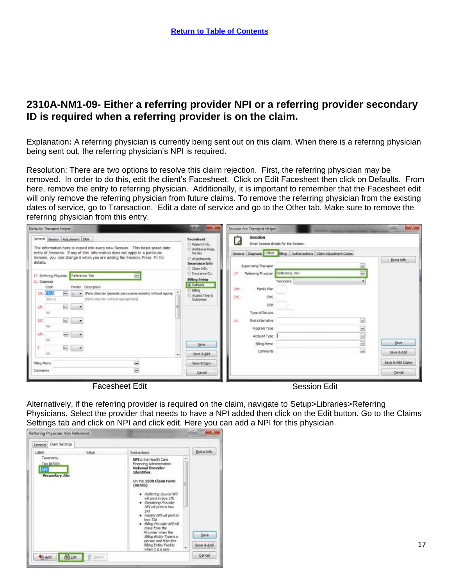#### <span id="page-16-0"></span>**2310A-NM1-09- Either a referring provider NPI or a referring provider secondary ID is required when a referring provider is on the claim.**

Explanation**:** A referring physician is currently being sent out on this claim. When there is a referring physician being sent out, the referring physician's NPI is required.

Resolution: There are two options to resolve this claim rejection. First, the referring physician may be removed. In order to do this, edit the client's Facesheet. Click on Edit Facesheet then click on Defaults. From here, remove the entry to referring physician. Additionally, it is important to remember that the Facesheet edit will only remove the referring physician from future claims. To remove the referring physician from the existing dates of service, go to Transaction. Edit a date of service and go to the Other tab. Make sure to remove the referring physician from this entry.

| General Season Adjustment ERA                                                                                                                                 | Facesheet<br>Patient Info.                   | Seccion<br>متاح<br>A<br>Enter Session details for the Session.      |                     |                  |
|---------------------------------------------------------------------------------------------------------------------------------------------------------------|----------------------------------------------|---------------------------------------------------------------------|---------------------|------------------|
| The information here is copied into every new Session. This helps speed data-<br>entry of Sessions. If any of this information does not apply to a particular | Additional Realty<br>Partise.                | General Diagnosis Other Sling Authorizations Claim Adjustment Codes |                     |                  |
| Session, you can change it when you are adding the Session. Press F1 for<br>details.                                                                          | <b>Attachments:</b><br><b>Insurance Info</b> | Supervising Therapist                                               | said.               | Extra Info       |
| 圖<br><b>Reference</b> , Kim<br>17. Referring Physician                                                                                                        | Claim Drifts.<br>Insurance Co.               | Referring Physician Maference, Kim<br>17.                           | $rac{1}{2}$         |                  |
| 31. Diagnose<br>Code<br>Description<br>Pointer                                                                                                                | folking Setup<br>a befaults                  | Taxonnomy<br>141.<br>Family Plan                                    | ٠                   |                  |
| 1/4 2010<br>區<br>(Panic disorder (apasolic paroxysmal aroisty) without ageng:<br>۰<br>(Panic daunder without agong induite)<br>320.01                         | <b>Billing</b><br>Access Time &<br>Clutzones | 240.<br>894G                                                        |                     |                  |
| $\overline{\phantom{a}}$<br>期.<br>$\cdots$                                                                                                                    |                                              | CDB-                                                                |                     |                  |
| <b>TUL</b><br>$\overline{m}$<br>3K                                                                                                                            |                                              | Type of Service<br>14<br>Extra Narrative                            | $\overline{1}$      |                  |
| 益<br>40                                                                                                                                                       |                                              | Program Type                                                        | $\equiv$            |                  |
| $\bullet$<br><b>TAR</b>                                                                                                                                       | Save                                         | Account Type<br>Billing Memo                                        | $\overline{w}$<br>ë | Save             |
| ε<br>[0.6]<br>$\rightarrow$<br>NA                                                                                                                             | Save & Add                                   | Comments                                                            | $\overline{500}$    | Save & Add       |
| œ.<br>Biling Nano                                                                                                                                             | Serve & Copy                                 |                                                                     |                     | Saye & Add Copay |
| à<br>Comments                                                                                                                                                 | Cancell                                      |                                                                     |                     | Cancel           |

Alternatively, if the referring provider is required on the claim, navigate to Setup>Libraries>Referring Physicians. Select the provider that needs to have a NPI added then click on the Edit button. Go to the Claims Settings tab and click on NPI and click edit. Here you can add a NPI for this physician.